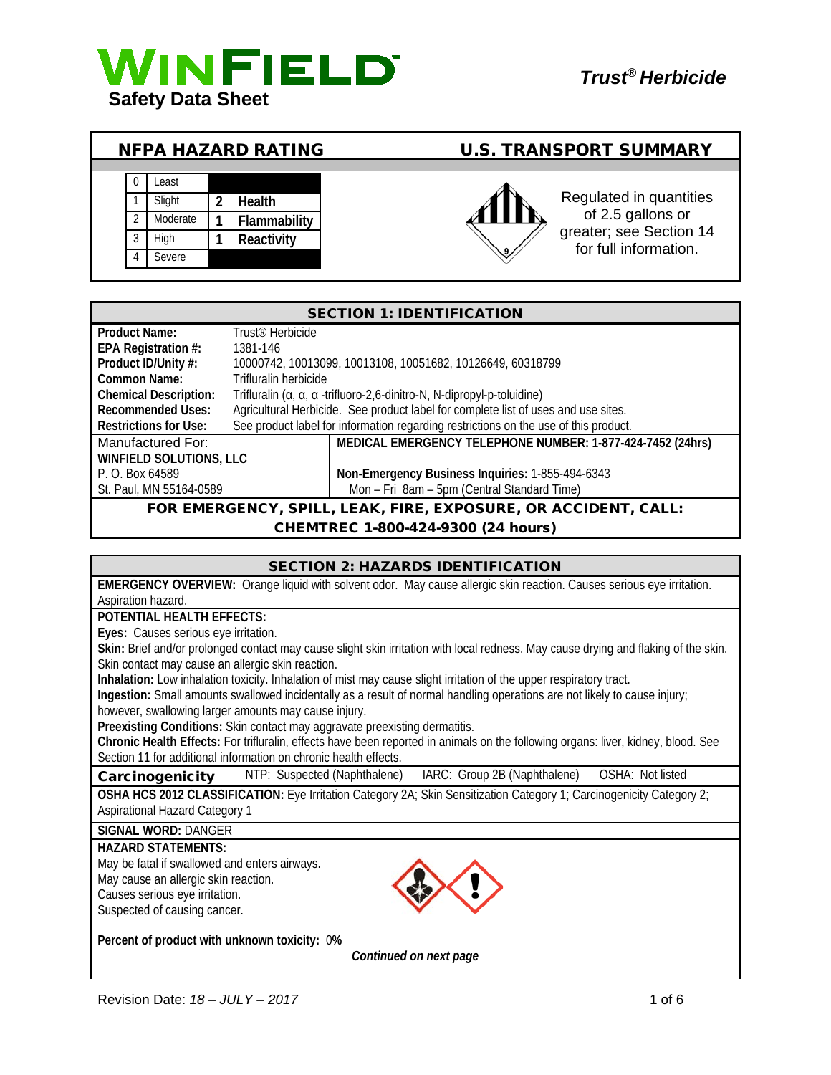

**SUMMARY** 

| NFPA HAZARD RATING |  |          |  |              |     | <b>U.S. TRANSPORT SUMMARY</b>                    |
|--------------------|--|----------|--|--------------|-----|--------------------------------------------------|
|                    |  |          |  |              |     |                                                  |
|                    |  | ∟east    |  |              |     |                                                  |
|                    |  | Slight   |  | Health       |     | Regulated in quantities                          |
|                    |  | Moderate |  | Flammability |     | of 2.5 gallons or                                |
|                    |  | Hiah     |  | Reactivity   |     | greater; see Section 14<br>for full information. |
|                    |  | Severe   |  |              | روپ |                                                  |

#### SECTION 1: IDENTIFICATION **Product Name:** Trust<sup>®</sup> Herbicide **EPA Registration #: 1381-146<br>Product ID/Unity #: 10000742 Product ID/Unity #:** 10000742, 10013099, 10013108, 10051682, 10126649, 60318799 **Common Name:** Trifluralin herbicide **Chemical Description:** Trifluralin (α, α, α -trifluoro-2,6-dinitro-N, N-dipropyl-p-toluidine) Recommended Uses: Agricultural Herbicide. See product label for complete list of uses and use sites.<br>Restrictions for Use: See product label for information regarding restrictions on the use of this product See product label for information regarding restrictions on the use of this product. Manufactured For: **MEDICAL EMERGENCY TELEPHONE NUMBER: 1-877-424-7452 (24hrs) WINFIELD SOLUTIONS, LLC** P. O. Box 64589 **Non-Emergency Business Inquiries:** 1-855-494-6343 Mon – Fri 8am – 5pm (Central Standard Time) FOR EMERGENCY, SPILL, LEAK, FIRE, EXPOSURE, OR ACCIDENT, CALL:

#### CHEMTREC 1-800-424-9300 (24 hours)

| <b>SECTION 2: HAZARDS IDENTIFICATION</b>                                                                                                                                                              |  |  |  |
|-------------------------------------------------------------------------------------------------------------------------------------------------------------------------------------------------------|--|--|--|
| EMERGENCY OVERVIEW: Orange liquid with solvent odor. May cause allergic skin reaction. Causes serious eye irritation.                                                                                 |  |  |  |
| Aspiration hazard.                                                                                                                                                                                    |  |  |  |
| POTENTIAL HEALTH EFFECTS:                                                                                                                                                                             |  |  |  |
| Eyes: Causes serious eye irritation.                                                                                                                                                                  |  |  |  |
| Skin: Brief and/or prolonged contact may cause slight skin irritation with local redness. May cause drying and flaking of the skin.                                                                   |  |  |  |
| Skin contact may cause an allergic skin reaction.                                                                                                                                                     |  |  |  |
| Inhalation: Low inhalation toxicity. Inhalation of mist may cause slight irritation of the upper respiratory tract.                                                                                   |  |  |  |
| Ingestion: Small amounts swallowed incidentally as a result of normal handling operations are not likely to cause injury;                                                                             |  |  |  |
| however, swallowing larger amounts may cause injury.                                                                                                                                                  |  |  |  |
| Preexisting Conditions: Skin contact may aggravate preexisting dermatitis.                                                                                                                            |  |  |  |
| Chronic Health Effects: For trifluralin, effects have been reported in animals on the following organs: liver, kidney, blood. See<br>Section 11 for additional information on chronic health effects. |  |  |  |
|                                                                                                                                                                                                       |  |  |  |
| IARC: Group 2B (Naphthalene) OSHA: Not listed<br>NTP: Suspected (Naphthalene)<br>Carcinogenicity                                                                                                      |  |  |  |
| OSHA HCS 2012 CLASSIFICATION: Eye Irritation Category 2A; Skin Sensitization Category 1; Carcinogenicity Category 2;                                                                                  |  |  |  |
| <b>Aspirational Hazard Category 1</b>                                                                                                                                                                 |  |  |  |
| <b>SIGNAL WORD: DANGER</b>                                                                                                                                                                            |  |  |  |
| <b>HAZARD STATEMENTS:</b>                                                                                                                                                                             |  |  |  |
| May be fatal if swallowed and enters airways.                                                                                                                                                         |  |  |  |
| May cause an allergic skin reaction.                                                                                                                                                                  |  |  |  |
| Causes serious eye irritation.                                                                                                                                                                        |  |  |  |
| Suspected of causing cancer.                                                                                                                                                                          |  |  |  |
|                                                                                                                                                                                                       |  |  |  |
| Percent of product with unknown toxicity: 0%                                                                                                                                                          |  |  |  |
| Continued on next page                                                                                                                                                                                |  |  |  |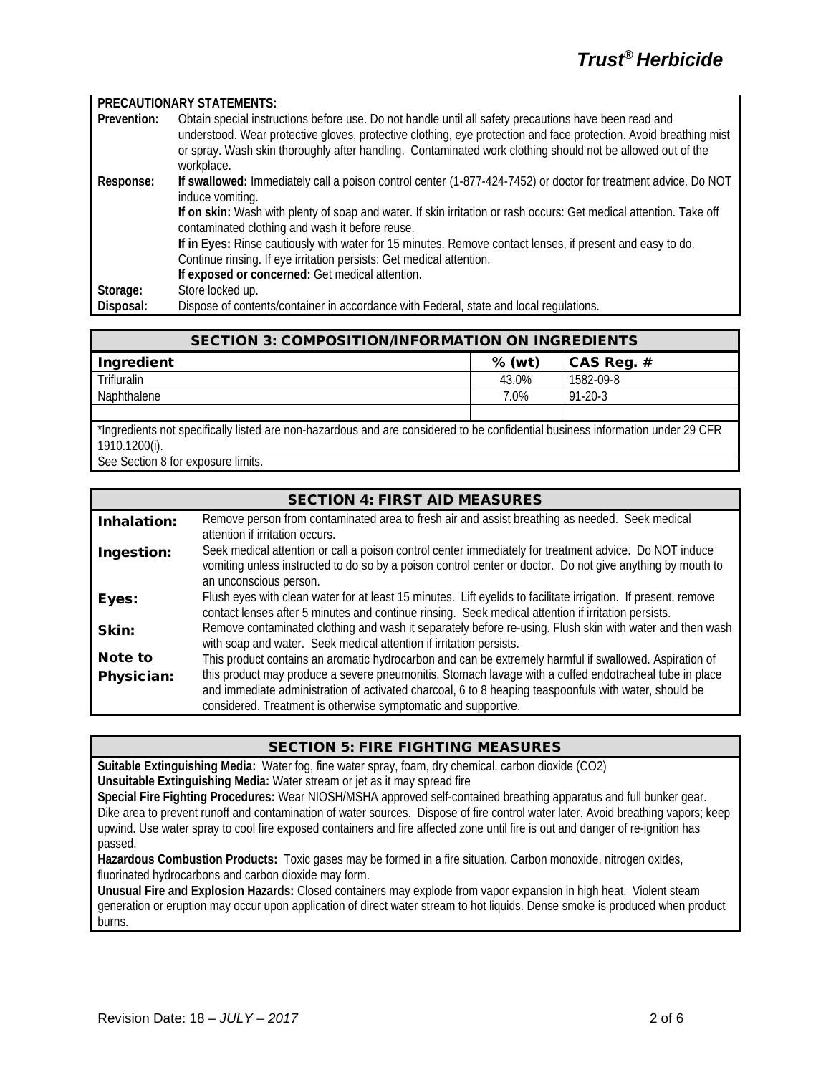# *Trust® Herbicide*

#### **PRECAUTIONARY STATEMENTS: Prevention:** Obtain special instructions before use. Do not handle until all safety precautions have been read and understood. Wear protective gloves, protective clothing, eye protection and face protection. Avoid breathing mist or spray. Wash skin thoroughly after handling. Contaminated work clothing should not be allowed out of the workplace. **Response: If swallowed:** Immediately call a poison control center (1-877-424-7452) or doctor for treatment advice. Do NOT induce vomiting. **If on skin:** Wash with plenty of soap and water. If skin irritation or rash occurs: Get medical attention. Take off contaminated clothing and wash it before reuse. **If in Eyes:** Rinse cautiously with water for 15 minutes. Remove contact lenses, if present and easy to do. Continue rinsing. If eye irritation persists: Get medical attention. **If exposed or concerned:** Get medical attention. Storage: Store locked up.<br>
Disposal: Dispose of conte Dispose of contents/container in accordance with Federal, state and local regulations.

| <b>SECTION 3: COMPOSITION/INFORMATION ON INGREDIENTS</b>                                                                       |        |               |  |
|--------------------------------------------------------------------------------------------------------------------------------|--------|---------------|--|
| Ingredient                                                                                                                     | % (wt) | CAS Reg. $#$  |  |
| <b>Trifluralin</b>                                                                                                             | 43.0%  | 1582-09-8     |  |
| Naphthalene                                                                                                                    | 7.0%   | $91 - 20 - 3$ |  |
|                                                                                                                                |        |               |  |
| *Ingredients not specifically listed are non-hazardous and are considered to be confidential business information under 29 CER |        |               |  |

\*Ingredients not specifically listed are non-hazardous and are considered to be confidential business information under 29 CFR 1910.1200(i).

See Section 8 for exposure limits.

## SECTION 4: FIRST AID MEASURES

| Inhalation: | Remove person from contaminated area to fresh air and assist breathing as needed. Seek medical<br>attention if irritation occurs.                                                                                                                                                 |
|-------------|-----------------------------------------------------------------------------------------------------------------------------------------------------------------------------------------------------------------------------------------------------------------------------------|
| Ingestion:  | Seek medical attention or call a poison control center immediately for treatment advice. Do NOT induce<br>vomiting unless instructed to do so by a poison control center or doctor. Do not give anything by mouth to<br>an unconscious person.                                    |
| Eyes:       | Flush eyes with clean water for at least 15 minutes. Lift eyelids to facilitate irrigation. If present, remove<br>contact lenses after 5 minutes and continue rinsing. Seek medical attention if irritation persists.                                                             |
| Skin:       | Remove contaminated clothing and wash it separately before re-using. Flush skin with water and then wash<br>with soap and water. Seek medical attention if irritation persists.                                                                                                   |
| Note to     | This product contains an aromatic hydrocarbon and can be extremely harmful if swallowed. Aspiration of                                                                                                                                                                            |
| Physician:  | this product may produce a severe pneumonitis. Stomach lavage with a cuffed endotracheal tube in place<br>and immediate administration of activated charcoal, 6 to 8 heaping teaspoonfuls with water, should be<br>considered. Treatment is otherwise symptomatic and supportive. |

#### SECTION 5: FIRE FIGHTING MEASURES

**Suitable Extinguishing Media:** Water fog, fine water spray, foam, dry chemical, carbon dioxide (CO2) **Unsuitable Extinguishing Media:** Water stream or jet as it may spread fire

**Special Fire Fighting Procedures:** Wear NIOSH/MSHA approved self-contained breathing apparatus and full bunker gear. Dike area to prevent runoff and contamination of water sources. Dispose of fire control water later. Avoid breathing vapors; keep upwind. Use water spray to cool fire exposed containers and fire affected zone until fire is out and danger of re-ignition has passed.

**Hazardous Combustion Products:** Toxic gases may be formed in a fire situation. Carbon monoxide, nitrogen oxides, fluorinated hydrocarbons and carbon dioxide may form.

**Unusual Fire and Explosion Hazards:** Closed containers may explode from vapor expansion in high heat. Violent steam generation or eruption may occur upon application of direct water stream to hot liquids. Dense smoke is produced when product burns.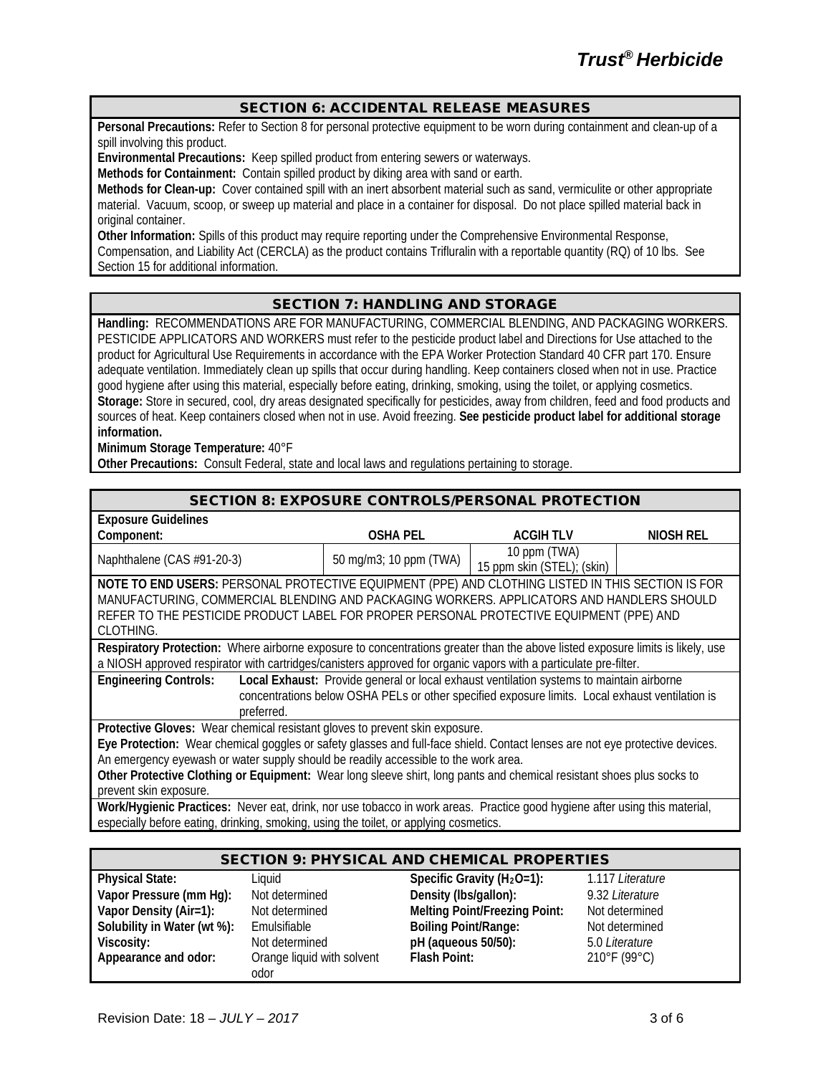#### SECTION 6: ACCIDENTAL RELEASE MEASURES

**Personal Precautions:** Refer to Section 8 for personal protective equipment to be worn during containment and clean-up of a spill involving this product.

**Environmental Precautions:** Keep spilled product from entering sewers or waterways.

**Methods for Containment:** Contain spilled product by diking area with sand or earth.

**Methods for Clean-up:** Cover contained spill with an inert absorbent material such as sand, vermiculite or other appropriate material. Vacuum, scoop, or sweep up material and place in a container for disposal. Do not place spilled material back in original container.

**Other Information:** Spills of this product may require reporting under the Comprehensive Environmental Response, Compensation, and Liability Act (CERCLA) as the product contains Trifluralin with a reportable quantity (RQ) of 10 lbs. See Section 15 for additional information.

#### SECTION 7: HANDLING AND STORAGE

**Handling:** RECOMMENDATIONS ARE FOR MANUFACTURING, COMMERCIAL BLENDING, AND PACKAGING WORKERS. PESTICIDE APPLICATORS AND WORKERS must refer to the pesticide product label and Directions for Use attached to the product for Agricultural Use Requirements in accordance with the EPA Worker Protection Standard 40 CFR part 170. Ensure adequate ventilation. Immediately clean up spills that occur during handling. Keep containers closed when not in use. Practice good hygiene after using this material, especially before eating, drinking, smoking, using the toilet, or applying cosmetics. **Storage:** Store in secured, cool, dry areas designated specifically for pesticides, away from children, feed and food products and sources of heat. Keep containers closed when not in use. Avoid freezing. **See pesticide product label for additional storage information.**

**Minimum Storage Temperature:** 40°F

**Other Precautions:** Consult Federal, state and local laws and regulations pertaining to storage.

|                                                                                                                              |                                                                                                                                | <b>SECTION 8: EXPOSURE CONTROLS/PERSONAL PROTECTION</b> |           |  |
|------------------------------------------------------------------------------------------------------------------------------|--------------------------------------------------------------------------------------------------------------------------------|---------------------------------------------------------|-----------|--|
| <b>Exposure Guidelines</b>                                                                                                   |                                                                                                                                |                                                         |           |  |
| Component:                                                                                                                   | <b>OSHA PEL</b>                                                                                                                | <b>ACGIH TLV</b>                                        | NIOSH REL |  |
| Naphthalene (CAS #91-20-3)                                                                                                   | 50 mg/m3; 10 ppm (TWA)                                                                                                         | 10 ppm (TWA)                                            |           |  |
|                                                                                                                              |                                                                                                                                | 15 ppm skin (STEL); (skin)                              |           |  |
| NOTE TO END USERS: PERSONAL PROTECTIVE EQUIPMENT (PPE) AND CLOTHING LISTED IN THIS SECTION IS FOR                            |                                                                                                                                |                                                         |           |  |
| MANUFACTURING, COMMERCIAL BLENDING AND PACKAGING WORKERS. APPLICATORS AND HANDLERS SHOULD                                    |                                                                                                                                |                                                         |           |  |
| REFER TO THE PESTICIDE PRODUCT LABEL FOR PROPER PERSONAL PROTECTIVE EQUIPMENT (PPE) AND                                      |                                                                                                                                |                                                         |           |  |
| CLOTHING.                                                                                                                    |                                                                                                                                |                                                         |           |  |
|                                                                                                                              | Respiratory Protection: Where airborne exposure to concentrations greater than the above listed exposure limits is likely, use |                                                         |           |  |
| a NIOSH approved respirator with cartridges/canisters approved for organic vapors with a particulate pre-filter.             |                                                                                                                                |                                                         |           |  |
| Local Exhaust: Provide general or local exhaust ventilation systems to maintain airborne<br><b>Engineering Controls:</b>     |                                                                                                                                |                                                         |           |  |
| concentrations below OSHA PELs or other specified exposure limits. Local exhaust ventilation is                              |                                                                                                                                |                                                         |           |  |
| preferred.                                                                                                                   |                                                                                                                                |                                                         |           |  |
| Protective Gloves: Wear chemical resistant gloves to prevent skin exposure.                                                  |                                                                                                                                |                                                         |           |  |
| Eye Protection: Wear chemical goggles or safety glasses and full-face shield. Contact lenses are not eye protective devices. |                                                                                                                                |                                                         |           |  |
| An emergency eyewash or water supply should be readily accessible to the work area.                                          |                                                                                                                                |                                                         |           |  |
| Other Protective Clothing or Equipment: Wear long sleeve shirt, long pants and chemical resistant shoes plus socks to        |                                                                                                                                |                                                         |           |  |
| prevent skin exposure.                                                                                                       |                                                                                                                                |                                                         |           |  |
| Work/Hygienic Practices: Never eat, drink, nor use tobacco in work areas. Practice good hygiene after using this material,   |                                                                                                                                |                                                         |           |  |
| especially before eating, drinking, smoking, using the toilet, or applying cosmetics.                                        |                                                                                                                                |                                                         |           |  |

| <b>SECTION 9: PHYSICAL AND CHEMICAL PROPERTIES</b> |                                    |                                      |                  |  |
|----------------------------------------------------|------------------------------------|--------------------------------------|------------------|--|
| <b>Physical State:</b>                             | Liquid                             | Specific Gravity ( $H_2O=1$ ):       | 1.117 Literature |  |
| Vapor Pressure (mm Hg):                            | Not determined                     | Density (Ibs/gallon):                | 9.32 Literature  |  |
| Vapor Density (Air=1):                             | Not determined                     | <b>Melting Point/Freezing Point:</b> | Not determined   |  |
| Solubility in Water (wt %):                        | Emulsifiable                       | <b>Boiling Point/Range:</b>          | Not determined   |  |
| Viscosity:                                         | Not determined                     | pH (aqueous 50/50):                  | 5.0 Literature   |  |
| Appearance and odor:                               | Orange liquid with solvent<br>odor | Flash Point:                         | 210°F (99°C)     |  |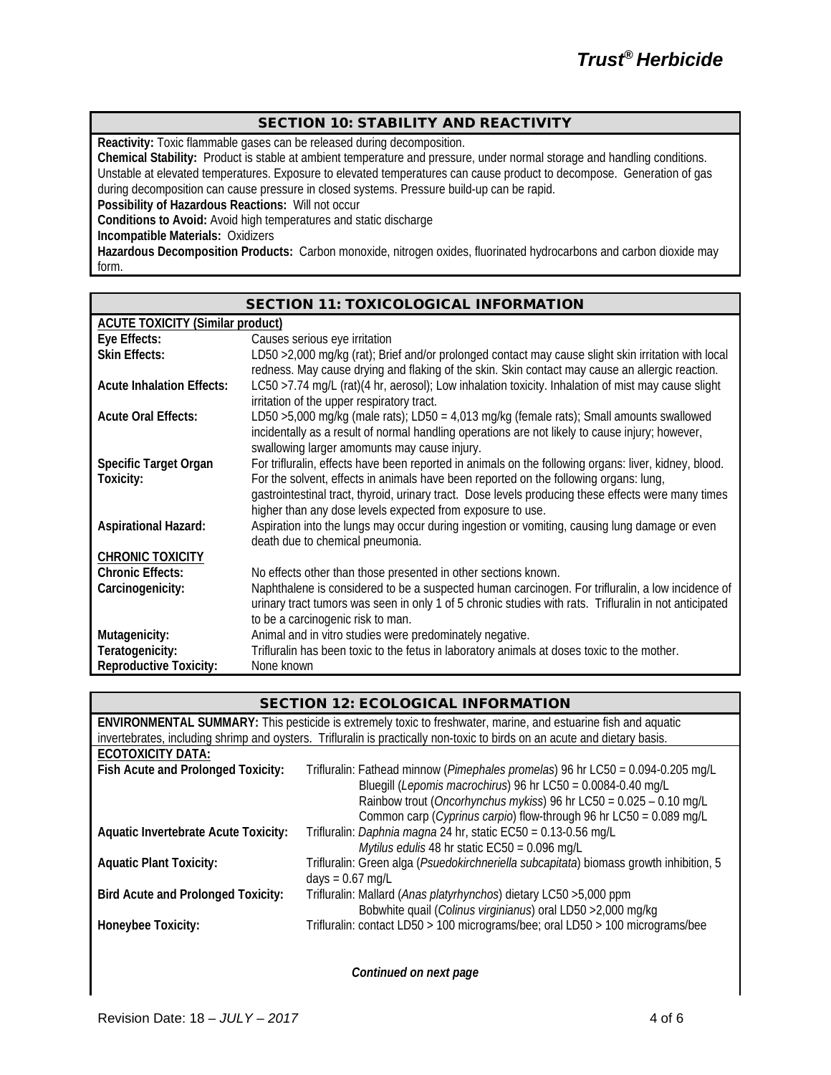#### SECTION 10: STABILITY AND REACTIVITY

**Reactivity:** Toxic flammable gases can be released during decomposition.

**Chemical Stability:** Product is stable at ambient temperature and pressure, under normal storage and handling conditions. Unstable at elevated temperatures. Exposure to elevated temperatures can cause product to decompose. Generation of gas during decomposition can cause pressure in closed systems. Pressure build-up can be rapid.

**Possibility of Hazardous Reactions:** Will not occur

**Conditions to Avoid:** Avoid high temperatures and static discharge

**Incompatible Materials:** Oxidizers

**Hazardous Decomposition Products:** Carbon monoxide, nitrogen oxides, fluorinated hydrocarbons and carbon dioxide may form.

|                                                  | <b>SECTION 11: TOXICOLOGICAL INFORMATION</b>                                                                                                                                                                                                               |  |  |  |
|--------------------------------------------------|------------------------------------------------------------------------------------------------------------------------------------------------------------------------------------------------------------------------------------------------------------|--|--|--|
|                                                  | <b>ACUTE TOXICITY (Similar product)</b>                                                                                                                                                                                                                    |  |  |  |
| Eye Effects:                                     | Causes serious eye irritation                                                                                                                                                                                                                              |  |  |  |
| <b>Skin Effects:</b>                             | LD50 > 2,000 mg/kg (rat); Brief and/or prolonged contact may cause slight skin irritation with local<br>redness. May cause drying and flaking of the skin. Skin contact may cause an allergic reaction.                                                    |  |  |  |
| <b>Acute Inhalation Effects:</b>                 | LC50 >7.74 mg/L (rat)(4 hr, aerosol); Low inhalation toxicity. Inhalation of mist may cause slight<br>irritation of the upper respiratory tract.                                                                                                           |  |  |  |
| <b>Acute Oral Effects:</b>                       | LD50 > 5,000 mg/kg (male rats); LD50 = 4,013 mg/kg (female rats); Small amounts swallowed<br>incidentally as a result of normal handling operations are not likely to cause injury; however,<br>swallowing larger amomunts may cause injury.               |  |  |  |
| <b>Specific Target Organ</b>                     | For trifluralin, effects have been reported in animals on the following organs: liver, kidney, blood.                                                                                                                                                      |  |  |  |
| Toxicity:                                        | For the solvent, effects in animals have been reported on the following organs: lung,<br>gastrointestinal tract, thyroid, urinary tract. Dose levels producing these effects were many times<br>higher than any dose levels expected from exposure to use. |  |  |  |
| <b>Aspirational Hazard:</b>                      | Aspiration into the lungs may occur during ingestion or vomiting, causing lung damage or even<br>death due to chemical pneumonia.                                                                                                                          |  |  |  |
| <b>CHRONIC TOXICITY</b>                          |                                                                                                                                                                                                                                                            |  |  |  |
| <b>Chronic Effects:</b>                          | No effects other than those presented in other sections known.                                                                                                                                                                                             |  |  |  |
| Carcinogenicity:                                 | Naphthalene is considered to be a suspected human carcinogen. For trifluralin, a low incidence of<br>urinary tract tumors was seen in only 1 of 5 chronic studies with rats. Trifluralin in not anticipated<br>to be a carcinogenic risk to man.           |  |  |  |
| Mutagenicity:                                    | Animal and in vitro studies were predominately negative.                                                                                                                                                                                                   |  |  |  |
| Teratogenicity:<br><b>Reproductive Toxicity:</b> | Trifluralin has been toxic to the fetus in laboratory animals at doses toxic to the mother.<br>None known                                                                                                                                                  |  |  |  |
|                                                  |                                                                                                                                                                                                                                                            |  |  |  |

| <b>SECTION 12: ECOLOGICAL INFORMATION</b>   |                                                                                                                           |  |  |
|---------------------------------------------|---------------------------------------------------------------------------------------------------------------------------|--|--|
|                                             | <b>ENVIRONMENTAL SUMMARY:</b> This pesticide is extremely toxic to freshwater, marine, and estuarine fish and aquatic     |  |  |
|                                             | invertebrates, including shrimp and oysters. Trifluralin is practically non-toxic to birds on an acute and dietary basis. |  |  |
| <b>ECOTOXICITY DATA:</b>                    |                                                                                                                           |  |  |
| Fish Acute and Prolonged Toxicity:          | Trifluralin: Fathead minnow (Pimephales promelas) 96 hr LC50 = 0.094-0.205 mg/L                                           |  |  |
|                                             | Bluegill (Lepomis macrochirus) 96 hr LC50 = 0.0084-0.40 mg/L                                                              |  |  |
|                                             | Rainbow trout (Oncorhynchus mykiss) 96 hr LC50 = 0.025 - 0.10 mg/L                                                        |  |  |
|                                             | Common carp (Cyprinus carpio) flow-through 96 hr LC50 = 0.089 mg/L                                                        |  |  |
| <b>Aquatic Invertebrate Acute Toxicity:</b> | Trifluralin: Daphnia magna 24 hr, static EC50 = 0.13-0.56 mg/L                                                            |  |  |
|                                             | Mytilus edulis 48 hr static $EC50 = 0.096$ mg/L                                                                           |  |  |
| <b>Aquatic Plant Toxicity:</b>              | Trifluralin: Green alga (Psuedokirchneriella subcapitata) biomass growth inhibition, 5                                    |  |  |
|                                             | $days = 0.67$ mg/L                                                                                                        |  |  |
| <b>Bird Acute and Prolonged Toxicity:</b>   | Trifluralin: Mallard (Anas platyrhynchos) dietary LC50 > 5,000 ppm                                                        |  |  |
|                                             | Bobwhite quail (Colinus virginianus) oral LD50 > 2,000 mg/kg                                                              |  |  |
| Honeybee Toxicity:                          | Trifluralin: contact LD50 > 100 micrograms/bee; oral LD50 > 100 micrograms/bee                                            |  |  |
|                                             |                                                                                                                           |  |  |
|                                             |                                                                                                                           |  |  |

*Continued on next page*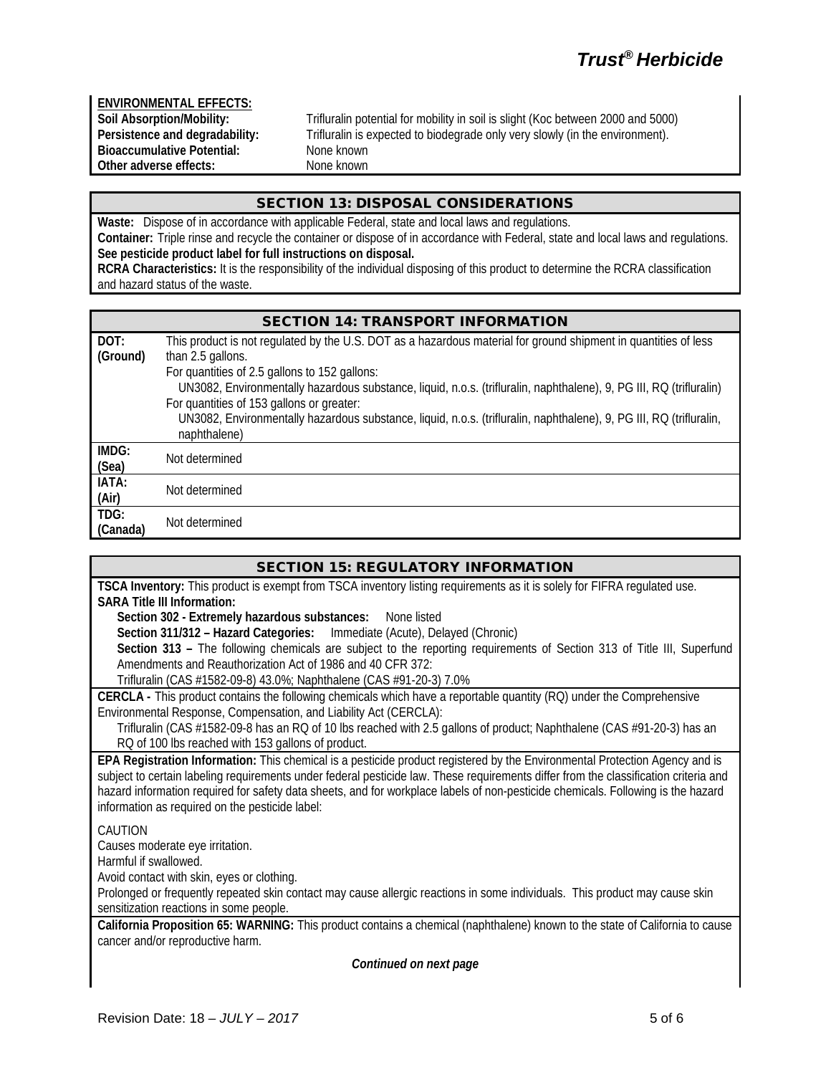**ENVIRONMENTAL EFFECTS: Bioaccumulative Potential:** None known<br>
Other adverse effects: None known **Other adverse effects:** 

**Soil Absorption/Mobility:** Trifluralin potential for mobility in soil is slight (Koc between 2000 and 5000)<br>Persistence and degradability: Trifluralin is expected to biodegrade only very slowly (in the environment). Trifluralin is expected to biodegrade only very slowly (in the environment).<br>None known

# SECTION 13: DISPOSAL CONSIDERATIONS

**Waste:** Dispose of in accordance with applicable Federal, state and local laws and regulations. **Container:** Triple rinse and recycle the container or dispose of in accordance with Federal, state and local laws and regulations. **See pesticide product label for full instructions on disposal.**

**RCRA Characteristics:** It is the responsibility of the individual disposing of this product to determine the RCRA classification and hazard status of the waste.

#### SECTION 14: TRANSPORT INFORMATION

| DOT:     | This product is not regulated by the U.S. DOT as a hazardous material for ground shipment in quantities of less     |  |
|----------|---------------------------------------------------------------------------------------------------------------------|--|
| (Ground) | than 2.5 gallons.                                                                                                   |  |
|          | For quantities of 2.5 gallons to 152 gallons:                                                                       |  |
|          | UN3082, Environmentally hazardous substance, liquid, n.o.s. (trifluralin, naphthalene), 9, PG III, RQ (trifluralin) |  |
|          | For quantities of 153 gallons or greater:                                                                           |  |
|          | UN3082, Environmentally hazardous substance, liquid, n.o.s. (trifluralin, naphthalene), 9, PG III, RQ (trifluralin, |  |
|          | naphthalene)                                                                                                        |  |
| IMDG:    | Not determined                                                                                                      |  |
| (Sea)    |                                                                                                                     |  |
| IATA:    | Not determined                                                                                                      |  |
| (Air)    |                                                                                                                     |  |
| TDG:     | Not determined                                                                                                      |  |
| (Canada) |                                                                                                                     |  |

| <b>SECTION 15: REGULATORY INFORMATION</b>                                                                                                                                                                                                                                                                                                                                                                                                                  |
|------------------------------------------------------------------------------------------------------------------------------------------------------------------------------------------------------------------------------------------------------------------------------------------------------------------------------------------------------------------------------------------------------------------------------------------------------------|
| TSCA Inventory: This product is exempt from TSCA inventory listing requirements as it is solely for FIFRA regulated use.<br><b>SARA Title III Information:</b>                                                                                                                                                                                                                                                                                             |
| Section 302 - Extremely hazardous substances:<br>None listed                                                                                                                                                                                                                                                                                                                                                                                               |
| Section 311/312 - Hazard Categories: Immediate (Acute), Delayed (Chronic)                                                                                                                                                                                                                                                                                                                                                                                  |
| Section 313 - The following chemicals are subject to the reporting requirements of Section 313 of Title III, Superfund                                                                                                                                                                                                                                                                                                                                     |
| Amendments and Reauthorization Act of 1986 and 40 CFR 372:                                                                                                                                                                                                                                                                                                                                                                                                 |
| Trifluralin (CAS #1582-09-8) 43.0%; Naphthalene (CAS #91-20-3) 7.0%                                                                                                                                                                                                                                                                                                                                                                                        |
| CERCLA - This product contains the following chemicals which have a reportable quantity (RQ) under the Comprehensive                                                                                                                                                                                                                                                                                                                                       |
| Environmental Response, Compensation, and Liability Act (CERCLA):<br>Trifluralin (CAS #1582-09-8 has an RQ of 10 lbs reached with 2.5 gallons of product; Naphthalene (CAS #91-20-3) has an                                                                                                                                                                                                                                                                |
| RQ of 100 lbs reached with 153 gallons of product.                                                                                                                                                                                                                                                                                                                                                                                                         |
| EPA Registration Information: This chemical is a pesticide product registered by the Environmental Protection Agency and is<br>subject to certain labeling requirements under federal pesticide law. These requirements differ from the classification criteria and<br>hazard information required for safety data sheets, and for workplace labels of non-pesticide chemicals. Following is the hazard<br>information as required on the pesticide label: |
| CAUTION<br>Causes moderate eye irritation.                                                                                                                                                                                                                                                                                                                                                                                                                 |
| Harmful if swallowed.<br>Avoid contact with skin, eyes or clothing.                                                                                                                                                                                                                                                                                                                                                                                        |
| Prolonged or frequently repeated skin contact may cause allergic reactions in some individuals. This product may cause skin                                                                                                                                                                                                                                                                                                                                |
| sensitization reactions in some people.                                                                                                                                                                                                                                                                                                                                                                                                                    |
| California Proposition 65: WARNING: This product contains a chemical (naphthalene) known to the state of California to cause<br>cancer and/or reproductive harm.                                                                                                                                                                                                                                                                                           |
| Continued on next page                                                                                                                                                                                                                                                                                                                                                                                                                                     |